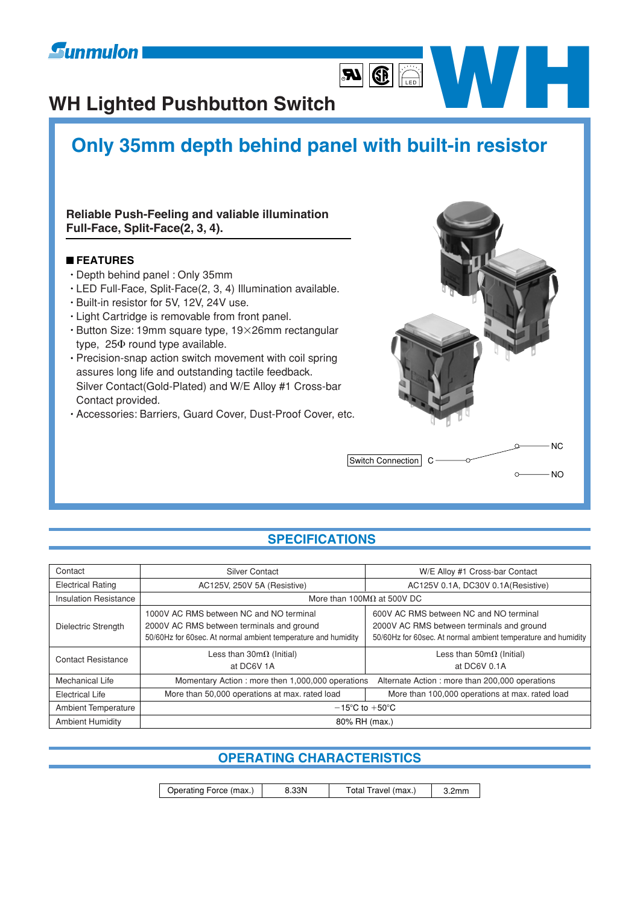



# **WH Lighted Pushbutton Switch WH** Lighted Pushbutton Switch

### **Only 35mm depth behind panel with built-in resistor**

### **Reliable Push-Feeling and valiable illumination Full-Face, Split-Face(2, 3, 4).**

### **FEATURES**

- Depth behind panel : Only 35mm
- LED Full-Face, Split-Face(2, 3, 4) Illumination available.
- Built-in resistor for 5V, 12V, 24V use.
- Light Cartridge is removable from front panel.
- Button Size: 19mm square type, 19×26mm rectangular type,  $25\Phi$  round type available.
- Precision-snap action switch movement with coil spring assures long life and outstanding tactile feedback. Silver Contact(Gold-Plated) and W/E Alloy #1 Cross-bar Contact provided.
- Accessories: Barriers, Guard Cover, Dust-Proof Cover, etc.



### **SPECIFICATIONS**

| Contact                      | Silver Contact                                                                                                                                        | W/E Alloy #1 Cross-bar Contact                                                                                                                       |  |  |  |  |  |  |
|------------------------------|-------------------------------------------------------------------------------------------------------------------------------------------------------|------------------------------------------------------------------------------------------------------------------------------------------------------|--|--|--|--|--|--|
| <b>Electrical Rating</b>     | AC125V, 250V 5A (Resistive)                                                                                                                           | AC125V 0.1A, DC30V 0.1A(Resistive)                                                                                                                   |  |  |  |  |  |  |
| <b>Insulation Resistance</b> | More than 100M $\Omega$ at 500V DC                                                                                                                    |                                                                                                                                                      |  |  |  |  |  |  |
| Dielectric Strength          | 1000V AC RMS between NC and NO terminal<br>2000V AC RMS between terminals and ground<br>50/60Hz for 60sec. At normal ambient temperature and humidity | 600V AC RMS between NC and NO terminal<br>2000V AC RMS between terminals and ground<br>50/60Hz for 60sec. At normal ambient temperature and humidity |  |  |  |  |  |  |
| <b>Contact Resistance</b>    | Less than $30m\Omega$ (Initial)<br>at DC6V 1A                                                                                                         | Less than $50 \text{m}\Omega$ (Initial)<br>at DC6V 0.1A                                                                                              |  |  |  |  |  |  |
| Mechanical Life              | Momentary Action: more then 1,000,000 operations                                                                                                      | Alternate Action: more than 200,000 operations                                                                                                       |  |  |  |  |  |  |
| <b>Electrical Life</b>       | More than 50,000 operations at max. rated load                                                                                                        | More than 100,000 operations at max. rated load                                                                                                      |  |  |  |  |  |  |
| <b>Ambient Temperature</b>   | $-15^{\circ}$ C to $+50^{\circ}$ C                                                                                                                    |                                                                                                                                                      |  |  |  |  |  |  |
| <b>Ambient Humidity</b>      | 80% RH (max.)                                                                                                                                         |                                                                                                                                                      |  |  |  |  |  |  |

### **OPERATING CHARACTERISTICS**

| Operating Force (max.) | 8.33N | Total Travel (max.) |  |
|------------------------|-------|---------------------|--|
|                        |       |                     |  |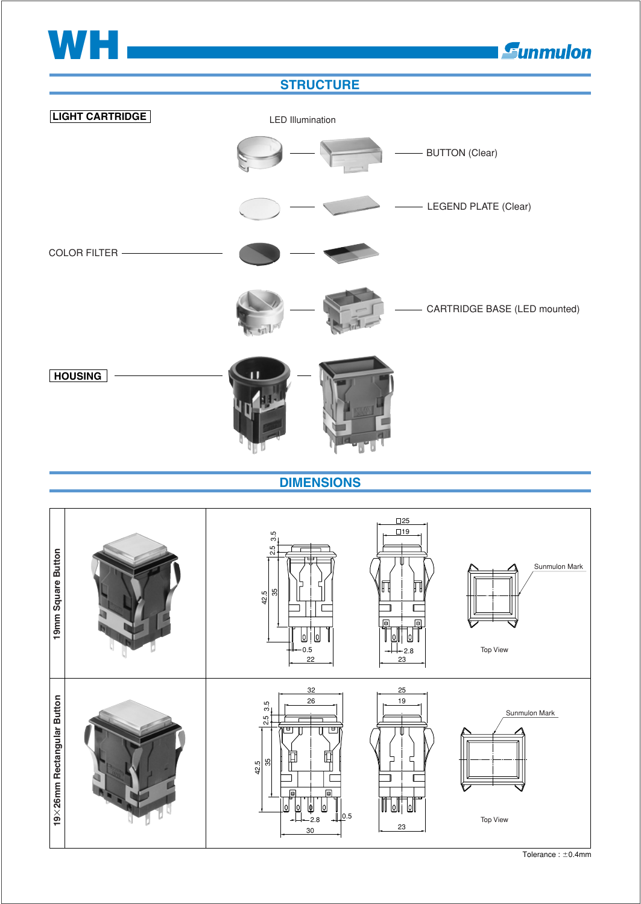

### **STRUCTURE**

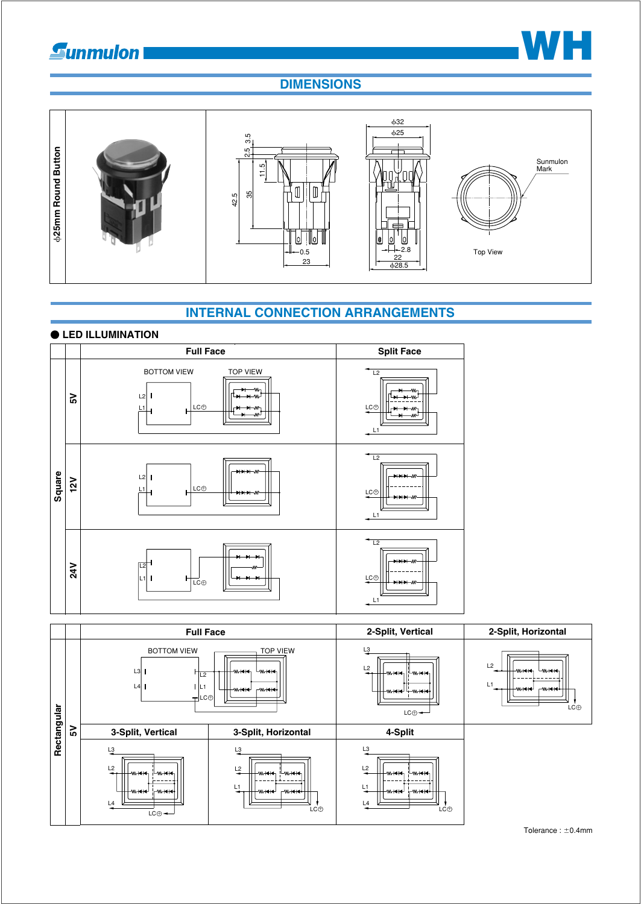### **Sunmulon**

# **WH**

### **DIMENSIONS**



### **INTERNAL CONNECTION ARRANGEMENTS**

### **LED ILLUMINATION**



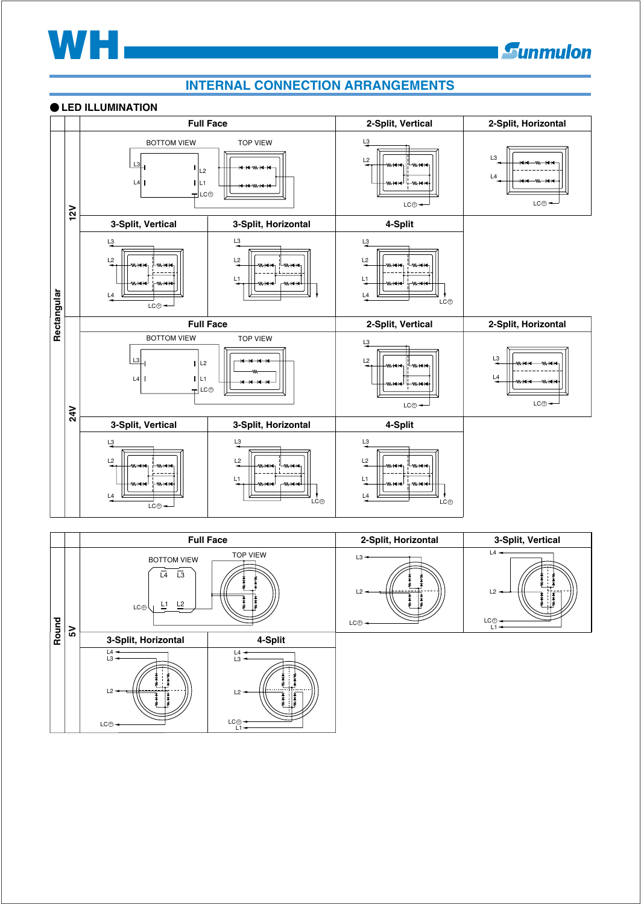# **WH**

### **INTERNAL CONNECTION ARRANGEMENTS**

### **LED ILLUMINATION**



|       |    | <b>Full Face</b>                                                             |                                                           | 2-Split, Horizontal             | 3-Split, Vertical                 |
|-------|----|------------------------------------------------------------------------------|-----------------------------------------------------------|---------------------------------|-----------------------------------|
| Round | 29 | <b>BOTTOM VIEW</b><br>$\overline{L3}$<br>$\overline{14}$<br>L2<br>$LC\oplus$ | <b>TOP VIEW</b>                                           | $L3 -$<br>$L2 -$<br>$LC \oplus$ | $L4 -$<br>$L2 -$<br>LC⊕<br>$L1 -$ |
|       |    | 3-Split, Horizontal                                                          | 4-Split                                                   |                                 |                                   |
|       |    | $L4 -$<br>$L3 -$<br>$L2 -$<br>LC⊕-                                           | $\frac{L4}{L3}$ =<br>$L2 -$<br>LC <sup>O-</sup><br>$L1 -$ |                                 |                                   |

### *<u>Eunmulon</u>*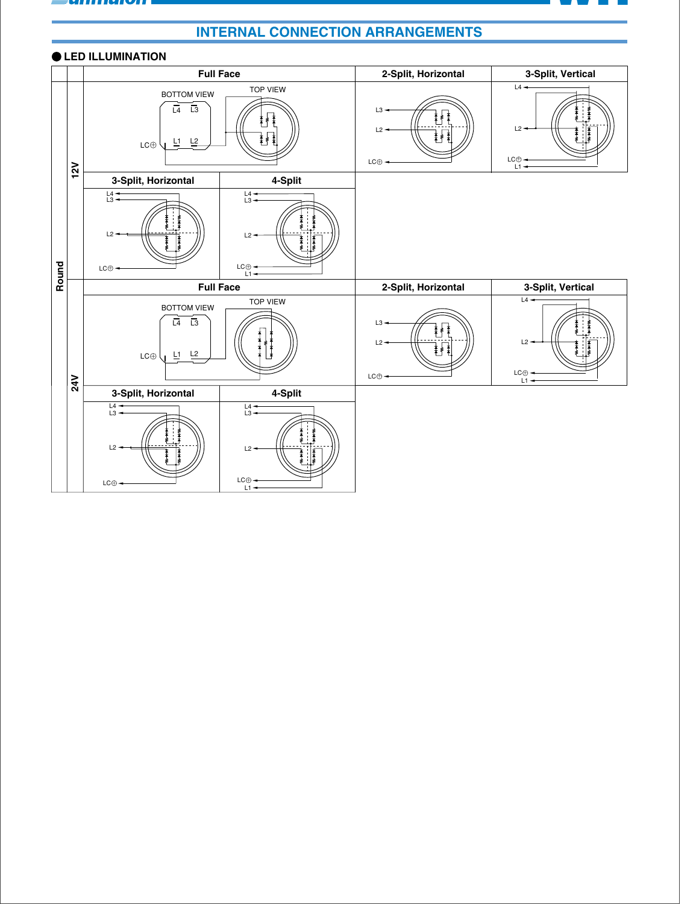

### **WHEN**  $\mathbf{W} = \mathbf{W} \mathbf{W}$

### **INTERNAL CONNECTION ARRANGEMENTS**

### **LED ILLUMINATION**

|       |     |                                                                                     | <b>Full Face</b>          | 2-Split, Horizontal                                | 3-Split, Vertical                           |
|-------|-----|-------------------------------------------------------------------------------------|---------------------------|----------------------------------------------------|---------------------------------------------|
|       | 12V | <b>BOTTOM VIEW</b><br>$\overline{L4}$ $\overline{L3}$<br>L2<br>ᅝ<br>$LC \oplus$     | <b>TOP VIEW</b>           | L <sub>3</sub><br>$L2 -$<br>$LC\oplus -$           | $L4 -$<br>$L2 -$<br>$LCO +$                 |
|       |     | 3-Split, Horizontal                                                                 | 4-Split                   |                                                    |                                             |
|       |     | $\frac{L4}{L3}$ $\leftarrow$<br>$L2 -$                                              | $\frac{L4}{L3}$<br>$L2 -$ |                                                    |                                             |
| Round |     | $LC\rightarrow$                                                                     | $LC\rightarrowLi -$       |                                                    |                                             |
|       |     |                                                                                     | <b>Full Face</b>          | 2-Split, Horizontal                                | 3-Split, Vertical                           |
|       |     |                                                                                     |                           |                                                    |                                             |
|       |     | <b>BOTTOM VIEW</b><br>$\overline{L4}$ $\overline{L3}$<br>$L1$ $L2$<br>$LC \oplus 1$ | <b>TOP VIEW</b>           | L <sub>3</sub><br>$L2 -$<br>$LC\oplus \rightarrow$ | $L4 -$<br>$L2 -$<br>$LC \oplus -$<br>$L1 -$ |
|       | 24V | 3-Split, Horizontal                                                                 | 4-Split                   |                                                    |                                             |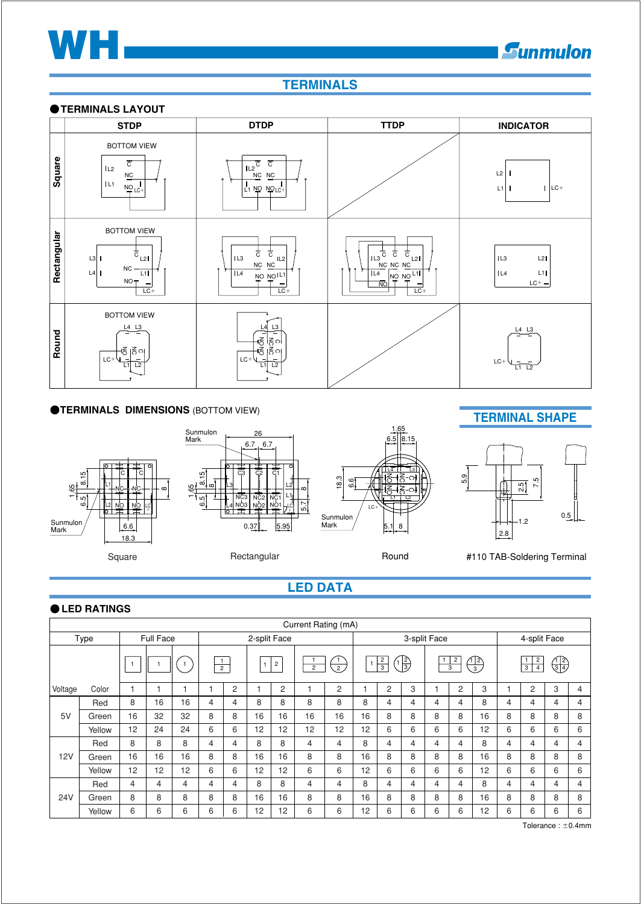

### **TERMINALS**

### **TERMINALS LAYOUT**





### **LED DATA**

|            | <b>OLED RATINGS</b> |    |                  |    |                |                |    |                |                     |                                |              |               |                            |   |                     |                |              |                                                    |                         |   |
|------------|---------------------|----|------------------|----|----------------|----------------|----|----------------|---------------------|--------------------------------|--------------|---------------|----------------------------|---|---------------------|----------------|--------------|----------------------------------------------------|-------------------------|---|
|            |                     |    |                  |    |                |                |    |                | Current Rating (mA) |                                |              |               |                            |   |                     |                |              |                                                    |                         |   |
|            | Type                |    | <b>Full Face</b> |    |                |                |    | 2-split Face   |                     |                                | 3-split Face |               |                            |   |                     |                | 4-split Face |                                                    |                         |   |
|            |                     |    |                  |    |                | $\frac{1}{2}$  | 1  | $\overline{c}$ | $\overline{c}$      | $\mathbf{1}$<br>$\overline{2}$ | $\mathbf{1}$ | $\frac{2}{3}$ | $\left(\frac{2}{3}\right)$ |   | $\overline{c}$<br>3 | $\frac{12}{3}$ |              | $\overline{2}$<br>$\overline{4}$<br>$\overline{3}$ | $\bigoplus_{i=1}^n A_i$ |   |
| Voltage    | Color               |    |                  | 1  |                | $\overline{2}$ |    | 2              |                     | $\overline{c}$                 |              | 2             | 3                          |   | 2                   | 3              |              | 2                                                  | 3                       | 4 |
| 5V         | Red                 | 8  | 16               | 16 | 4              | 4              | 8  | 8              | 8                   | 8                              | 8            | 4             | 4                          | 4 | 4                   | 8              | 4            | 4                                                  | 4                       | 4 |
|            | Green               | 16 | 32               | 32 | 8              | 8              | 16 | 16             | 16                  | 16                             | 16           | 8             | 8                          | 8 | 8                   | 16             | 8            | 8                                                  | 8                       | 8 |
|            | Yellow              | 12 | 24               | 24 | 6              | 6              | 12 | 12             | 12                  | 12                             | 12           | 6             | 6                          | 6 | 6                   | 12             | 6            | 6                                                  | 6                       | 6 |
|            | Red                 | 8  | 8                | 8  | 4              | 4              | 8  | 8              | 4                   | 4                              | 8            | 4             | 4                          | 4 | 4                   | 8              | 4            | 4                                                  | 4                       | 4 |
| 12V        | Green               | 16 | 16               | 16 | 8              | 8              | 16 | 16             | 8                   | 8                              | 16           | 8             | 8                          | 8 | 8                   | 16             | 8            | 8                                                  | 8                       | 8 |
|            | Yellow              | 12 | 12               | 12 | 6              | 6              | 12 | 12             | 6                   | 6                              | 12           | 6             | 6                          | 6 | 6                   | 12             | 6            | 6                                                  | 6                       | 6 |
|            | Red                 | 4  | 4                | 4  | $\overline{4}$ | 4              | 8  | 8              | 4                   | 4                              | 8            | 4             | 4                          | 4 | 4                   | 8              | 4            | 4                                                  | 4                       | 4 |
| <b>24V</b> | Green               | 8  | 8                | 8  | 8              | 8              | 16 | 16             | 8                   | 8                              | 16           | 8             | 8                          | 8 | 8                   | 16             | 8            | 8                                                  | 8                       | 8 |
|            | Yellow              | 6  | 6                | 6  | 6              | 6              | 12 | 12             | 6                   | 6                              | 12           | 6             | 6                          | 6 | 6                   | 12             | 6            | 6                                                  | 6                       | 6 |

Tolerance:  $\pm$ 0.4mm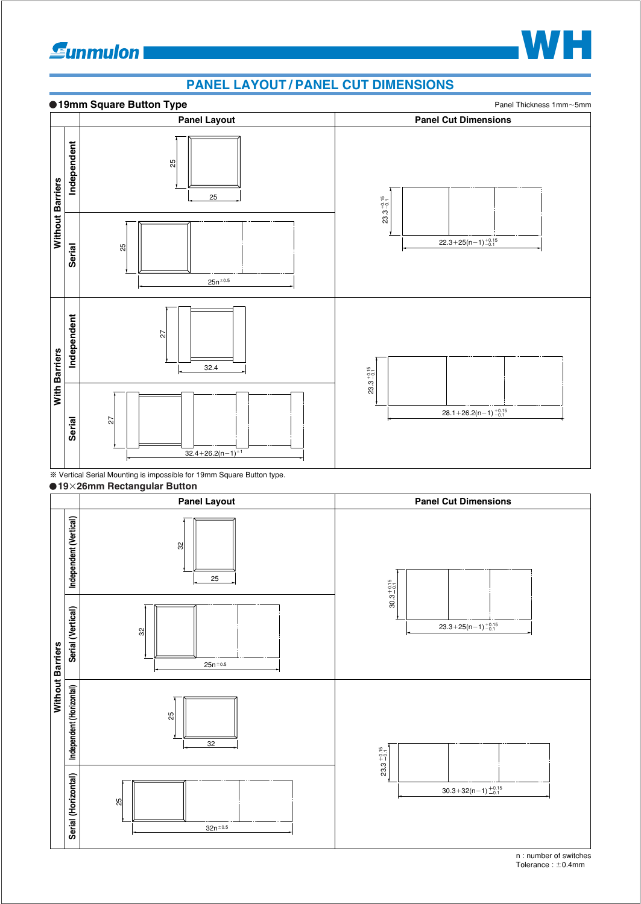### **Gunmulon**

### **PANEL LAYOUT / PANEL CUT DIMENSIONS**





 n : number of switches Tolerance :  $\pm$ 0.4mm

**WH**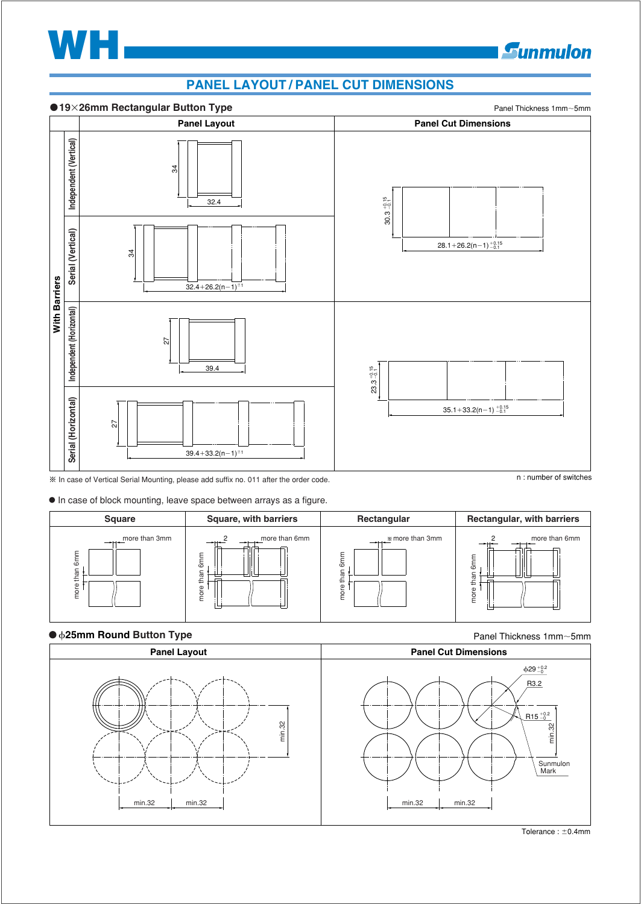

### **PANEL LAYOUT / PANEL CUT DIMENSIONS**



In case of Vertical Serial Mounting, please add suffix no. 011 after the order code.

n : number of switches

**Eunmulon** 

### $\bullet$  In case of block mounting, leave space between arrays as a figure.



### **25mm Round Button Type**



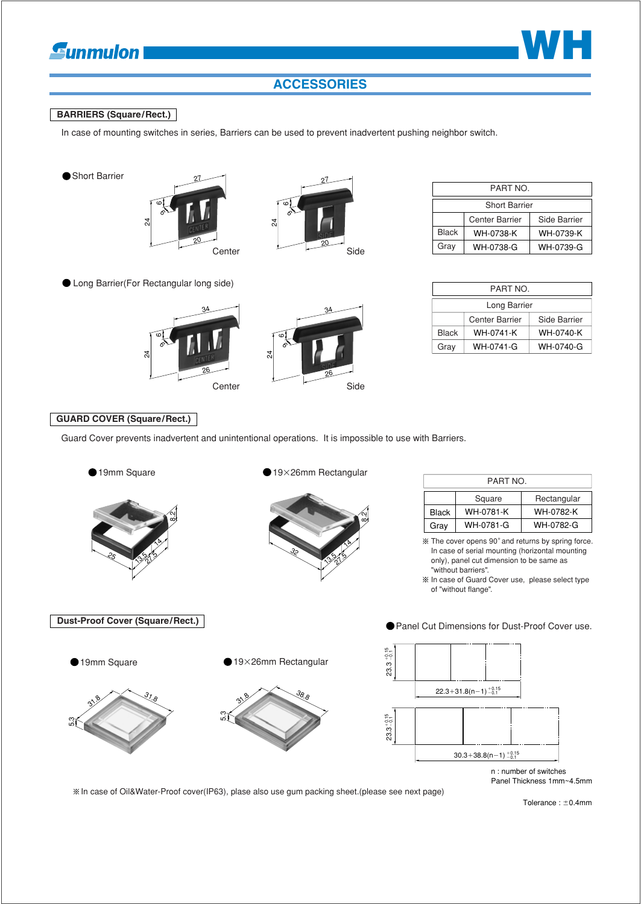### **ACCESSORIES**

### **BARRIERS (Square/Rect.)**

In case of mounting switches in series, Barriers can be used to prevent inadvertent pushing neighbor switch.





Black Gray Center Barrier WH-0738-K WH-0738-G Side Barrier WH-0739-K WH-0739-G PART NO. Short Barrier

| PART NO.                              |           |           |  |  |  |  |  |  |
|---------------------------------------|-----------|-----------|--|--|--|--|--|--|
| Long Barrier                          |           |           |  |  |  |  |  |  |
| <b>Center Barrier</b><br>Side Barrier |           |           |  |  |  |  |  |  |
| <b>Black</b>                          | WH-0741-K | WH-0740-K |  |  |  |  |  |  |
| Grav                                  | WH-0741-G | WH-0740-G |  |  |  |  |  |  |

Long Barrier(For Rectangular long side)





19×26mm Rectangular

.<br>ಹ

 $13.5$ 27.5<br>27.5 14

સ્ટિ

### **GUARD COVER (Square/Rect.)**

Guard Cover prevents inadvertent and unintentional operations. It is impossible to use with Barriers.

|  | 19mm Square |
|--|-------------|
|  |             |



**Dust-Proof Cover (Square/Rect.)**









PART NO.

In case of serial mounting (horizontal mounting only), panel cut dimension to be same as "without barriers".

In case of Guard Cover use, please select type of "without flange".

### Panel Cut Dimensions for Dust-Proof Cover use.



n : number of switches Panel Thickness 1mm~4.5mm

In case of Oil&Water-Proof cover(IP63), plase also use gum packing sheet.(please see next page)

Tolerance :  $\pm$ 0.4mm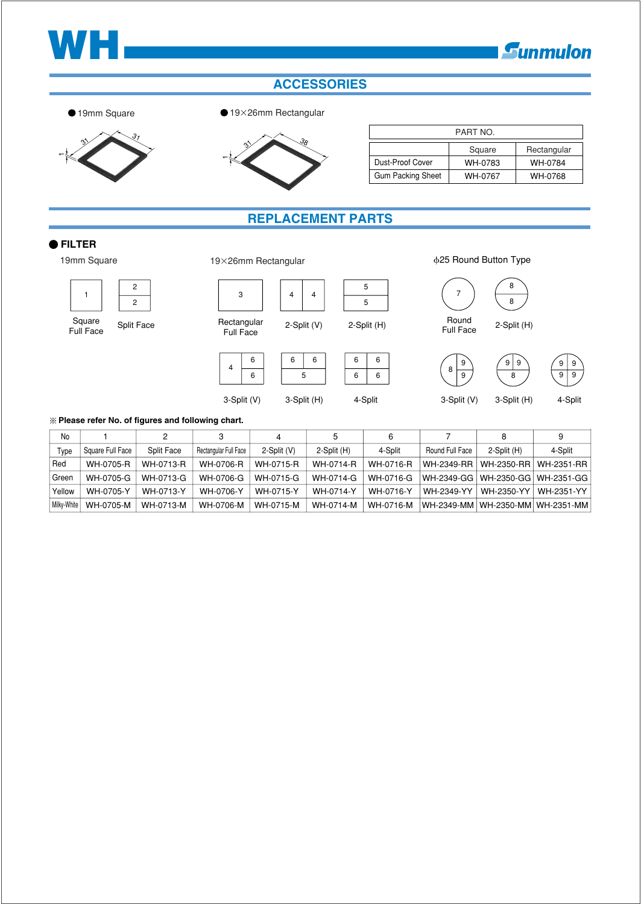

### **ACCESSORIES**

● 19mm Square 19×26mm Rectangular





| PART NO.                 |         |             |  |  |  |  |  |
|--------------------------|---------|-------------|--|--|--|--|--|
|                          | Square  | Rectangular |  |  |  |  |  |
| Dust-Proof Cover         | WH-0783 | WH-0784     |  |  |  |  |  |
| <b>Gum Packing Sheet</b> | WH-0767 | WH-0768     |  |  |  |  |  |

### **REPLACEMENT PARTS**

### **FILTER**

Square Full Face

1

19mm Square **-** *19×26mm Rectangular* + Φ

 $3 \mid 4 \mid 4$ 

Rectangular Full Face

> 6 6

4

25 Round Button Type



 $2\text{-Split (V)}$  2-Split (H)  $\frac{\text{Round}}{\text{Full} \text{F320}}$  2-Split (H)





3-Split (V) 3-Split (H) 3-Split (H) 3-Split (V) 3-Split (H) 4-Split 4-Split 3-Split (V) 3-Split (H) 4-Split

Full Face

### **Please refer No. of figures and following chart.**

Split Face

2 2

| No          |                  |                   | З                     | 4             |             | 6         |                 | 8           |                                      |
|-------------|------------------|-------------------|-----------------------|---------------|-------------|-----------|-----------------|-------------|--------------------------------------|
| Type        | Square Full Face | <b>Split Face</b> | Rectangular Full Face | $2-Split (V)$ | 2-Split (H) | 4-Split   | Round Full Face | 2-Split (H) | 4-Split                              |
| Red         | WH-0705-R        | WH-0713-R         | WH-0706-R             | WH-0715-R     | WH-0714-R   | WH-0716-R | WH-2349-RR      | WH-2350-RR  | WH-2351-RR                           |
| Green       | WH-0705-G        | WH-0713-G         | WH-0706-G             | WH-0715-G     | WH-0714-G   | WH-0716-G |                 |             | WH-2350-GG   WH-2351-GG              |
| Yellow      | WH-0705-Y        | WH-0713-Y         | WH-0706-Y             | WH-0715-Y     | WH-0714-Y   | WH-0716-Y | WH-2349-YY      | WH-2350-YY  | WH-2351-YY                           |
| Milky-White | WH-0705-M        | WH-0713-M         | WH-0706-M             | WH-0715-M     | WH-0714-M   | WH-0716-M |                 |             | WH-2349-MM   WH-2350-MM   WH-2351-MM |

5 6 6 6 6 6 6

5 5